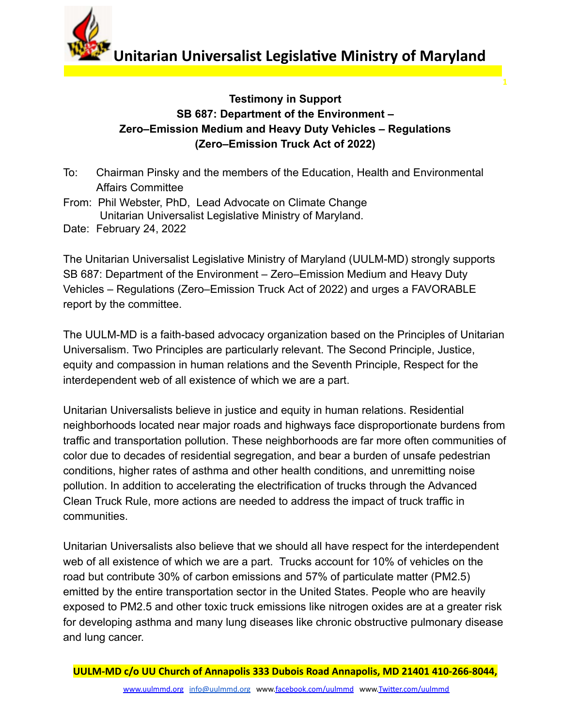**Unitarian Universalist Legislative Ministry of Maryland** 

**1**

## **Testimony in Support SB 687: Department of the Environment – Zero–Emission Medium and Heavy Duty Vehicles – Regulations (Zero–Emission Truck Act of 2022)**

- To: Chairman Pinsky and the members of the Education, Health and Environmental Affairs Committee
- From: Phil Webster, PhD, Lead Advocate on Climate Change Unitarian Universalist Legislative Ministry of Maryland. Date: February 24, 2022

The Unitarian Universalist Legislative Ministry of Maryland (UULM-MD) strongly supports SB 687: Department of the Environment – Zero–Emission Medium and Heavy Duty Vehicles – Regulations (Zero–Emission Truck Act of 2022) and urges a FAVORABLE report by the committee.

The UULM-MD is a faith-based advocacy organization based on the Principles of Unitarian Universalism. Two Principles are particularly relevant. The Second Principle, Justice, equity and compassion in human relations and the Seventh Principle, Respect for the interdependent web of all existence of which we are a part.

Unitarian Universalists believe in justice and equity in human relations. Residential neighborhoods located near major roads and highways face disproportionate burdens from traffic and transportation pollution. These neighborhoods are far more often communities of color due to decades of residential segregation, and bear a burden of unsafe pedestrian conditions, higher rates of asthma and other health conditions, and unremitting noise pollution. In addition to accelerating the electrification of trucks through the Advanced Clean Truck Rule, more actions are needed to address the impact of truck traffic in communities.

Unitarian Universalists also believe that we should all have respect for the interdependent web of all existence of which we are a part. Trucks account for 10% of vehicles on the road but contribute 30% of carbon emissions and 57% of particulate matter (PM2.5) emitted by the entire transportation sector in the United States. People who are heavily exposed to PM2.5 and other toxic truck emissions like nitrogen oxides are at a greater risk for developing asthma and many lung diseases like chronic obstructive pulmonary disease and lung cancer.